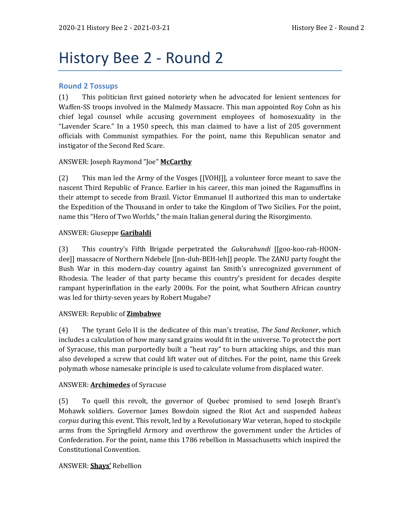# History Bee 2 - Round 2

# **Round 2 Tossups**

(1) This politician first gained notoriety when he advocated for lenient sentences for Waffen-SS troops involved in the Malmedy Massacre. This man appointed Roy Cohn as his chief legal counsel while accusing government employees of homosexuality in the "Lavender Scare." In a 1950 speech, this man claimed to have a list of 205 government officials with Communist sympathies. For the point, name this Republican senator and instigator of the Second Red Scare.

# ANSWER: Joseph Raymond "Joe" **McCarthy**

(2) This man led the Army of the Vosges [[VOHJ]], a volunteer force meant to save the nascent Third Republic of France. Earlier in his career, this man joined the Ragamuffins in their attempt to secede from Brazil. Victor Emmanuel II authorized this man to undertake the Expedition of the Thousand in order to take the Kingdom of Two Sicilies. For the point, name this "Hero of Two Worlds," the main Italian general during the Risorgimento.

## ANSWER: Giuseppe **Garibaldi**

(3) This country's Fifth Brigade perpetrated the *Gukurahundi* [[goo-koo-rah-HOONdee]] massacre of Northern Ndebele [[nn-duh-BEH-leh]] people. The ZANU party fought the Bush War in this modern-day country against Ian Smith's unrecognized government of Rhodesia. The leader of that party became this country's president for decades despite rampant hyperinflation in the early 2000s. For the point, what Southern African country was led for thirty-seven years by Robert Mugabe?

## ANSWER: Republic of **Zimbabwe**

(4) The tyrant Gelo II is the dedicatee of this man's treatise, *The Sand Reckoner*, which includes a calculation of how many sand grains would fit in the universe. To protect the port of Syracuse, this man purportedly built a "heat ray" to burn attacking ships, and this man also developed a screw that could lift water out of ditches. For the point, name this Greek polymath whose namesake principle is used to calculate volume from displaced water.

## ANSWER: **Archimedes** of Syracuse

(5) To quell this revolt, the governor of Quebec promised to send Joseph Brant's Mohawk soldiers. Governor James Bowdoin signed the Riot Act and suspended *habeas corpus* during this event. This revolt, led by a Revolutionary War veteran, hoped to stockpile arms from the Springfield Armory and overthrow the government under the Articles of Confederation. For the point, name this 1786 rebellion in Massachusetts which inspired the Constitutional Convention.

## ANSWER: **Shays'** Rebellion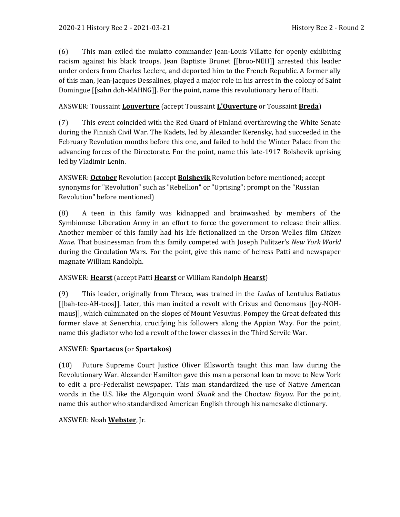(6) This man exiled the mulatto commander Jean-Louis Villatte for openly exhibiting racism against his black troops. Jean Baptiste Brunet [[broo-NEH]] arrested this leader under orders from Charles Leclerc, and deported him to the French Republic. A former ally of this man, Jean-Jacques Dessalines, played a major role in his arrest in the colony of Saint Domingue [[sahn doh-MAHNG]]. For the point, name this revolutionary hero of Haiti.

# ANSWER: Toussaint **Louverture** (accept Toussaint **L'Ouverture** or Toussaint **Breda**)

(7) This event coincided with the Red Guard of Finland overthrowing the White Senate during the Finnish Civil War. The Kadets, led by Alexander Kerensky, had succeeded in the February Revolution months before this one, and failed to hold the Winter Palace from the advancing forces of the Directorate. For the point, name this late-1917 Bolshevik uprising led by Vladimir Lenin.

ANSWER: **October** Revolution (accept **Bolshevik** Revolution before mentioned; accept synonyms for "Revolution" such as "Rebellion" or "Uprising"; prompt on the "Russian Revolution" before mentioned)

(8) A teen in this family was kidnapped and brainwashed by members of the Symbionese Liberation Army in an effort to force the government to release their allies. Another member of this family had his life fictionalized in the Orson Welles film *Citizen Kane*. That businessman from this family competed with Joseph Pulitzer's *New York World* during the Circulation Wars. For the point, give this name of heiress Patti and newspaper magnate William Randolph.

## ANSWER: **Hearst** (accept Patti **Hearst** or William Randolph **Hearst**)

(9) This leader, originally from Thrace, was trained in the *Ludus* of Lentulus Batiatus [[bah-tee-AH-toos]]. Later, this man incited a revolt with Crixus and Oenomaus [[oy-NOHmaus]], which culminated on the slopes of Mount Vesuvius. Pompey the Great defeated this former slave at Senerchia, crucifying his followers along the Appian Way. For the point, name this gladiator who led a revolt of the lower classes in the Third Servile War.

## ANSWER: **Spartacus** (or **Spartakos**)

(10) Future Supreme Court Justice Oliver Ellsworth taught this man law during the Revolutionary War. Alexander Hamilton gave this man a personal loan to move to New York to edit a pro-Federalist newspaper. This man standardized the use of Native American words in the U.S. like the Algonquin word *Skunk* and the Choctaw *Bayou*. For the point, name this author who standardized American English through his namesake dictionary.

## ANSWER: Noah **Webster**, Jr.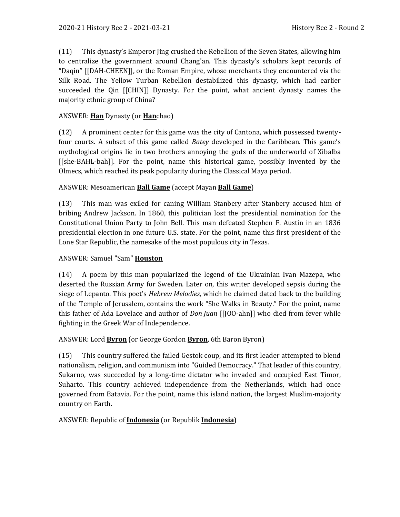(11) This dynasty's Emperor Jing crushed the Rebellion of the Seven States, allowing him to centralize the government around Chang'an. This dynasty's scholars kept records of "Daqin" [[DAH-CHEEN]], or the Roman Empire, whose merchants they encountered via the Silk Road. The Yellow Turban Rebellion destabilized this dynasty, which had earlier succeeded the Qin [[CHIN]] Dynasty. For the point, what ancient dynasty names the majority ethnic group of China?

## ANSWER: **Han** Dynasty (or **Han**chao)

(12) A prominent center for this game was the city of Cantona, which possessed twentyfour courts. A subset of this game called *Batey* developed in the Caribbean. This game's mythological origins lie in two brothers annoying the gods of the underworld of Xibalba [[she-BAHL-bah]]. For the point, name this historical game, possibly invented by the Olmecs, which reached its peak popularity during the Classical Maya period.

#### ANSWER: Mesoamerican **Ball Game** (accept Mayan **Ball Game**)

(13) This man was exiled for caning William Stanbery after Stanbery accused him of bribing Andrew Jackson. In 1860, this politician lost the presidential nomination for the Constitutional Union Party to John Bell. This man defeated Stephen F. Austin in an 1836 presidential election in one future U.S. state. For the point, name this first president of the Lone Star Republic, the namesake of the most populous city in Texas.

#### ANSWER: Samuel "Sam" **Houston**

(14) A poem by this man popularized the legend of the Ukrainian Ivan Mazepa, who deserted the Russian Army for Sweden. Later on, this writer developed sepsis during the siege of Lepanto. This poet's *Hebrew Melodies*, which he claimed dated back to the building of the Temple of Jerusalem, contains the work "She Walks in Beauty." For the point, name this father of Ada Lovelace and author of *Don Juan* [[JOO-ahn]] who died from fever while fighting in the Greek War of Independence.

#### ANSWER: Lord **Byron** (or George Gordon **Byron**, 6th Baron Byron)

(15) This country suffered the failed Gestok coup, and its first leader attempted to blend nationalism, religion, and communism into "Guided Democracy." That leader of this country, Sukarno, was succeeded by a long-time dictator who invaded and occupied East Timor, Suharto. This country achieved independence from the Netherlands, which had once governed from Batavia. For the point, name this island nation, the largest Muslim-majority country on Earth.

#### ANSWER: Republic of **Indonesia** (or Republik **Indonesia**)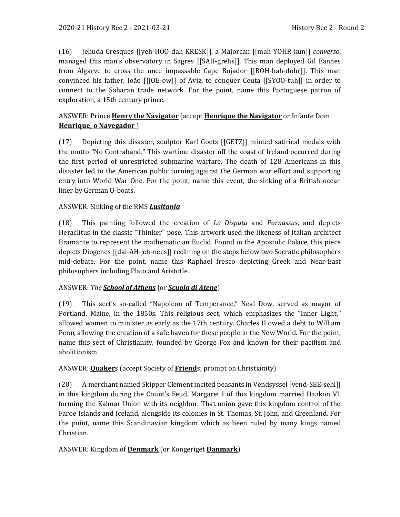(16) Jehuda Cresques [[yeh-HOO-dah KRESK]], a Majorcan [[mah-YOHR-kun]] *converso*, managed this man's observatory in Sagres [[SAH-grehs]]. This man deployed Gil Eannes from Algarve to cross the once impassable Cape Bojador [[BOH-hah-dohr]]. This man convinced his father, João [[JOE-ow]] of Aviz, to conquer Ceuta [[SYOO-tuh]] in order to connect to the Saharan trade network. For the point, name this Portuguese patron of exploration, a 15th century prince.

# ANSWER: Prince **Henry the Navigator** (accept **Henrique the Navigator** or Infante Dom **Henrique, o Navegador** )

(17) Depicting this disaster, sculptor Karl Goetz [[GETZ]] minted satirical medals with the motto "No Contraband." This wartime disaster off the coast of Ireland occurred during the first period of unrestricted submarine warfare. The death of 128 Americans in this disaster led to the American public turning against the German war effort and supporting entry into World War One. For the point, name this event, the sinking of a British ocean liner by German U-boats.

# ANSWER: Sinking of the RMS *Lusitania*

(18) This painting followed the creation of *La Disputa* and *Parnassus*, and depicts Heraclitus in the classic "Thinker" pose. This artwork used the likeness of Italian architect Bramante to represent the mathematician Euclid. Found in the Apostolic Palace, this piece depicts Diogenes [[dai-AH-jeh-nees]] reclining on the steps below two Socratic philosophers mid-debate. For the point, name this Raphael fresco depicting Greek and Near-East philosophers including Plato and Aristotle.

# ANSWER: *The School of Athens* (or *Scuola di Atene*)

(19) This sect's so-called "Napoleon of Temperance," Neal Dow, served as mayor of Portland, Maine, in the 1850s. This religious sect, which emphasizes the "Inner Light," allowed women to minister as early as the 17th century. Charles II owed a debt to William Penn, allowing the creation of a safe haven for these people in the New World. For the point, name this sect of Christianity, founded by George Fox and known for their pacifism and abolitionism.

# ANSWER: **Quaker**s (accept Society of **Friend**s; prompt on Christianity)

(20) A merchant named Skipper Clement incited peasants in Vendsyssel [vend-SEE-sehl]] in this kingdom during the Count's Feud. Margaret I of this kingdom married Haakon VI, forming the Kalmar Union with its neighbor. That union gave this kingdom control of the Faroe Islands and Iceland, alongside its colonies in St. Thomas, St. John, and Greenland. For the point, name this Scandinavian kingdom which as been ruled by many kings named Christian.

# ANSWER: Kingdom of **Denmark** (or Kongeriget **Danmark**)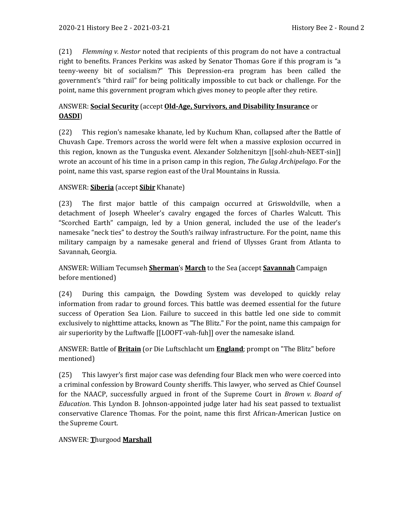(21) *Flemming v. Nestor* noted that recipients of this program do not have a contractual right to benefits. Frances Perkins was asked by Senator Thomas Gore if this program is "a teeny-weeny bit of socialism?" This Depression-era program has been called the government's "third rail" for being politically impossible to cut back or challenge. For the point, name this government program which gives money to people after they retire.

# ANSWER: **Social Security** (accept **Old-Age, Survivors, and Disability Insurance** or **OASDI**)

(22) This region's namesake khanate, led by Kuchum Khan, collapsed after the Battle of Chuvash Cape. Tremors across the world were felt when a massive explosion occurred in this region, known as the Tunguska event. Alexander Solzhenitzyn [[sohl-zhuh-NEET-sin]] wrote an account of his time in a prison camp in this region, *The Gulag Archipelago*. For the point, name this vast, sparse region east of the Ural Mountains in Russia.

# ANSWER: **Siberia** (accept **Sibir** Khanate)

(23) The first major battle of this campaign occurred at Griswoldville, when a detachment of Joseph Wheeler's cavalry engaged the forces of Charles Walcutt. This "Scorched Earth" campaign, led by a Union general, included the use of the leader's namesake "neck ties" to destroy the South's railway infrastructure. For the point, name this military campaign by a namesake general and friend of Ulysses Grant from Atlanta to Savannah, Georgia.

# ANSWER: William Tecumseh **Sherman**'s **March** to the Sea (accept **Savannah** Campaign before mentioned)

(24) During this campaign, the Dowding System was developed to quickly relay information from radar to ground forces. This battle was deemed essential for the future success of Operation Sea Lion. Failure to succeed in this battle led one side to commit exclusively to nighttime attacks, known as "The Blitz." For the point, name this campaign for air superiority by the Luftwaffe [[LOOFT-vah-fuh]] over the namesake island.

# ANSWER: Battle of **Britain** (or Die Luftschlacht um **England**; prompt on "The Blitz" before mentioned)

(25) This lawyer's first major case was defending four Black men who were coerced into a criminal confession by Broward County sheriffs. This lawyer, who served as Chief Counsel for the NAACP, successfully argued in front of the Supreme Court in *Brown v. Board of Education*. This Lyndon B. Johnson-appointed judge later had his seat passed to textualist conservative Clarence Thomas. For the point, name this first African-American Justice on the Supreme Court.

# ANSWER: **T**hurgood **Marshall**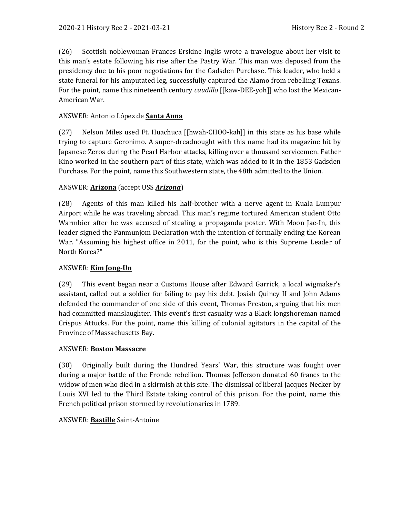(26) Scottish noblewoman Frances Erskine Inglis wrote a travelogue about her visit to this man's estate following his rise after the Pastry War. This man was deposed from the presidency due to his poor negotiations for the Gadsden Purchase. This leader, who held a state funeral for his amputated leg, successfully captured the Alamo from rebelling Texans. For the point, name this nineteenth century *caudillo* [[kaw-DEE-yoh]] who lost the Mexican-American War.

# ANSWER: Antonio López de **Santa Anna**

(27) Nelson Miles used Ft. Huachuca [[hwah-CHOO-kah]] in this state as his base while trying to capture Geronimo. A super-dreadnought with this name had its magazine hit by Japanese Zeros during the Pearl Harbor attacks, killing over a thousand servicemen. Father Kino worked in the southern part of this state, which was added to it in the 1853 Gadsden Purchase. For the point, name this Southwestern state, the 48th admitted to the Union.

## ANSWER: **Arizona** (accept USS *Arizona*)

(28) Agents of this man killed his half-brother with a nerve agent in Kuala Lumpur Airport while he was traveling abroad. This man's regime tortured American student Otto Warmbier after he was accused of stealing a propaganda poster. With Moon Jae-In, this leader signed the Panmunjom Declaration with the intention of formally ending the Korean War. "Assuming his highest office in 2011, for the point, who is this Supreme Leader of North Korea?"

## ANSWER: **Kim Jong-Un**

(29) This event began near a Customs House after Edward Garrick, a local wigmaker's assistant, called out a soldier for failing to pay his debt. Josiah Quincy II and John Adams defended the commander of one side of this event, Thomas Preston, arguing that his men had committed manslaughter. This event's first casualty was a Black longshoreman named Crispus Attucks. For the point, name this killing of colonial agitators in the capital of the Province of Massachusetts Bay.

## ANSWER: **Boston Massacre**

(30) Originally built during the Hundred Years' War, this structure was fought over during a major battle of the Fronde rebellion. Thomas Jefferson donated 60 francs to the widow of men who died in a skirmish at this site. The dismissal of liberal Jacques Necker by Louis XVI led to the Third Estate taking control of this prison. For the point, name this French political prison stormed by revolutionaries in 1789.

## ANSWER: **Bastille** Saint-Antoine